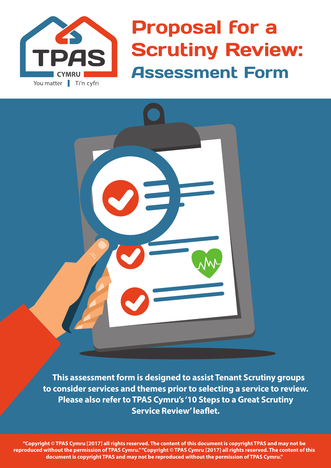

Proposal for a Scrutiny Review: Assessment Form



 **This assessment form is designed to assist Tenant Scrutiny groups to consider services and themes prior to selecting a service to review. Please also refer to TPAS Cymru's '10 Steps to a Great Scrutiny Service Review' leaflet.**

**"Copyright © TPAS Cymru [2017] all rights reserved. The content of this document is copyright TPAS and may not be reproduced without the permission of TPAS Cymru." "Copyright © TPAS Cymru [2017] all rights reserved. The content of this document is copyright TPAS and may not be reproduced without the permission of TPAS Cymru."**